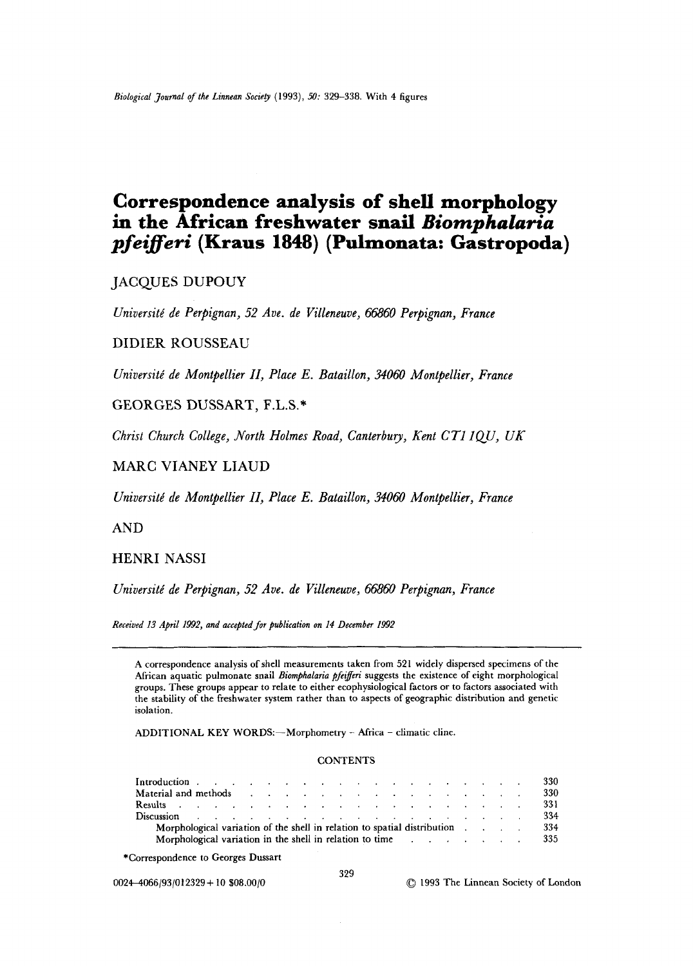# **Correspondence analysis of shell morphology**  in the African freshwater snail *Biomphalaria pfeiierk* **(Kraus 1848) (Pulmonata: Gastropoda)**

JACQUES DUPOUY

*Universitt de Perpignan, 52 Ave. de Villeneuve, 66860 Perpignan, France* 

DIDIER *ROUSSEAU* 

*Uniuersiti de Montpellier 11, Place E. Bataillon, 34060 Montpellier, France* 

*GEORGES DUSSART,* **F.L.S.\*** 

*Christ Church College, North Holmes Road, Canterbury, Kent CTl lQU, UK* 

# MARC VIANEY LIAUD

*Universitt! de Montpellier 11, Place E. Bataillon, 34060 Montpellier, France* 

AND

HENRI NASSI

*Universitt de Perpignan, 52 Ave. de Villeneuve, 66860 Perpignan, France* 

*Received 13 April 1992, and accepted for publication on 14 December 1992* 

A correspondence analysis of shell measurements taken from 521 widely dispersed specimens of the African aquatic pulmonate snail *Biomphalaria pfetyereri* suggests the existence of eight morphological groups. These groups appear to relate to either ecophysiological factors or to factors associated with the stability of the freshwater system rather than to aspects of geographic distribution and genetic isolation.

ADDITIONAL KEY WORDS:-Morphometry - Africa - climatic cline.

## **CONTENTS**

|                                                                                                                                                                                                                                |  |  |  |  |  |  |  |  |  |  | 330  |
|--------------------------------------------------------------------------------------------------------------------------------------------------------------------------------------------------------------------------------|--|--|--|--|--|--|--|--|--|--|------|
| Material and methods residence that is a contracted methods and the contracted methods of the contracted methods of the contracted methods of the contracted methods of the contracted methods of the contracted methods of th |  |  |  |  |  |  |  |  |  |  | 330  |
| Results references and the contract of the contract of the contract of the contract of the contract of the contract of the contract of the contract of the contract of the contract of the contract of the contract of the con |  |  |  |  |  |  |  |  |  |  | 331  |
|                                                                                                                                                                                                                                |  |  |  |  |  |  |  |  |  |  | 334  |
| Morphological variation of the shell in relation to spatial distribution                                                                                                                                                       |  |  |  |  |  |  |  |  |  |  | 334  |
| Morphological variation in the shell in relation to time example of the state of the state of the state of the state of the state of the state of the state of the state of the state of the state of the state of the state o |  |  |  |  |  |  |  |  |  |  | -335 |

<sup>\*</sup>Correspondence to Georges Dussart

0024-4066/93/012329 + 10 \$08.00/0 *0* 1993 The Linnean Society of London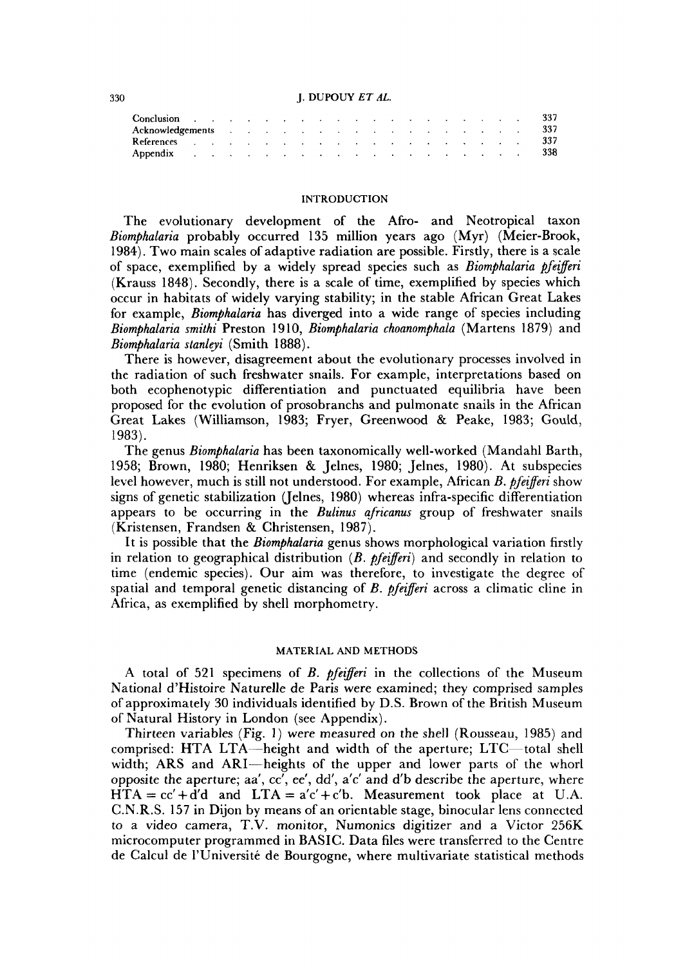## **330** J. **DUPOUY** *ET AL.*

|                                                                                                                                                                                                                               |  |  |  |  |  |  |  |  | 337 |
|-------------------------------------------------------------------------------------------------------------------------------------------------------------------------------------------------------------------------------|--|--|--|--|--|--|--|--|-----|
| References and a substitution of the contract of the contract of the contract of the contract of the contract of the contract of the contract of the contract of the contract of the contract of the contract of the contract |  |  |  |  |  |  |  |  | 337 |
|                                                                                                                                                                                                                               |  |  |  |  |  |  |  |  | 338 |

# **INTRODUCTION**

The evolutionary development of the Afro- and Neotropical taxon *Biomphalaria* probably occurred 135 million years ago (Myr) (Meier-Brook, 1984). Two main scales of adaptive radiation are possible. Firstly, there is a scale of space, exemplified by a widely spread species such as *Biomphalaria pfezferi*  (Krauss 1848). Secondly, there is a scale of time, exemplified by species which occur in habitats of widely varying stability; in the stable African Great Lakes for example, *Biomphalaria* has diverged into a wide range of species including *Biomphalaria smithi* Preston 19 10, *Biomphalaria choanomphala* (Martens 1879) and *Biomphalaria stanleyi* (Smith 1888).

There is however, disagreement about the evolutionary processes involved in the radiation of such freshwater snails. For example, interpretations based on both ecophenotypic differentiation and punctuated equilibria have been proposed for the evolution of prosobranchs and pulmonate snails in the African Great Lakes (Williamson, 1983; Fryer, Greenwood & Peake, 1983; Gould, 1983).

The genus *Biomphalaria* has been taxonomically well-worked (Mandahl Barth, 1958; Brown, 1980; Henriksen & Jelnes, 1980; Jelnes, 1980). At subspecies level however, much is still not understood. For example, African *B. pfezferi* show signs of genetic stabilization (Jelnes, 1980) whereas infra-specific differentiation appears to be occurring in the *Bulinus africanus* group of freshwater snails (Kristensen, Frandsen & Christensen, 1987).

It is possible that the *Biomphalaria* genus shows morphological variation firstly in relation to geographical distribution *(B. pfezferi)* and secondly in relation to time (endemic species). Our aim was therefore, to investigate the degree of spatial and temporal genetic distancing of *B. pfezferi* across a climatic cline in Africa, as exemplified by shell morphometry.

## **MATERIAL AND METHODS**

**A** total of 521 specimens of *B. pfezferi* in the collections of the Museum National d'Histoire Naturelle de Paris were examined; they comprised samples of approximately **30** individuals identified by D.S. Brown of the British Museum of Natural History in London (see Appendix).

Thirteen variables (Fig. 1) were measured on the shell (Rousseau, 1985) and comprised: HTA LTA—height and width of the aperture; LTC—total shell width; ARS and ARI-heights of the upper and lower parts of the whorl opposite the aperture; aa',  $cc'$ , ee', dd', a'c' and d'b describe the aperture, where  $HTA = cc' + d'd$  and  $LTA = a'c' + c'b$ . Measurement took place at U.A. C.N.R.S. 157 in Dijon by means of an orientable stage, binocular lens connected to a video camera, T.V. monitor, Numonics digitizer and a Victor 256K microcomputer programmed in BASIC. Data files were transferred to the Centre de Calcul de l'Université de Bourgogne, where multivariate statistical methods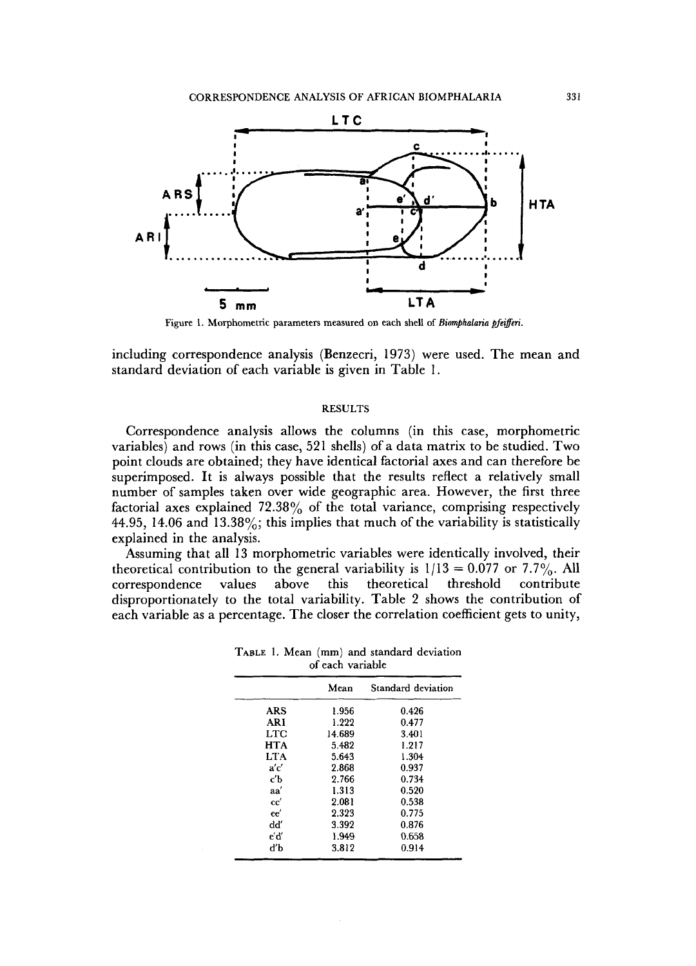

Figure 1. Morphometric parameters measured on each shell of *Biomphalaria pfeifferi*.

including correspondence analysis (Benzecri, 1973) were used. The mean and standard deviation of each variable is given in Table 1.

# **RESULTS**

Correspondence analysis allows the columns (in this case, morphometric variables) and rows (in this case, 521 shells) of a data matrix to be studied. Two point clouds are obtained; they have identical factorial axes and can therefore be superimposed. It is always possible that the results reflect a relatively small number of samples taken over wide geographic area. However, the first three factorial axes explained  $72.38\%$  of the total variance, comprising respectively 44.95, 14.06 and 13.38%; this implies that much of the variability is statistically explained in the analysis.

Assuming that all 13 morphometric variables were identically involved, their theoretical contribution to the general variability is  $1/13 = 0.077$  or 7.7%. All correspondence values above this theoretical threshold contribute correspondence values disproportionately to the total variability. Table 2 shows the contribution of each variable as a percentage. The closer the correlation coefficient gets to unity,

|            | Mean   | Standard deviation |
|------------|--------|--------------------|
| <b>ARS</b> | 1.956  | 0.426              |
| <b>ARI</b> | 1.222  | 0.477              |
| LTC.       | 14.689 | 3.401              |
| <b>HTA</b> | 5.482  | 1.217              |
| LTA        | 5.643  | 1.304              |
| a'c'       | 2.868  | 0.937              |
| c'h        | 2.766  | 0.734              |
| aa'        | 1.313  | 0.520              |
| cc'        | 2.081  | 0.538              |
| ee'        | 2.323  | 0.775              |
| ďď         | 3.392  | 0.876              |
| e'd'       | 1.949  | 0.658              |
| ďb         | 3.812  | 0.914              |

**TABLE 1. Mean (mm) and standard deviation of each variable**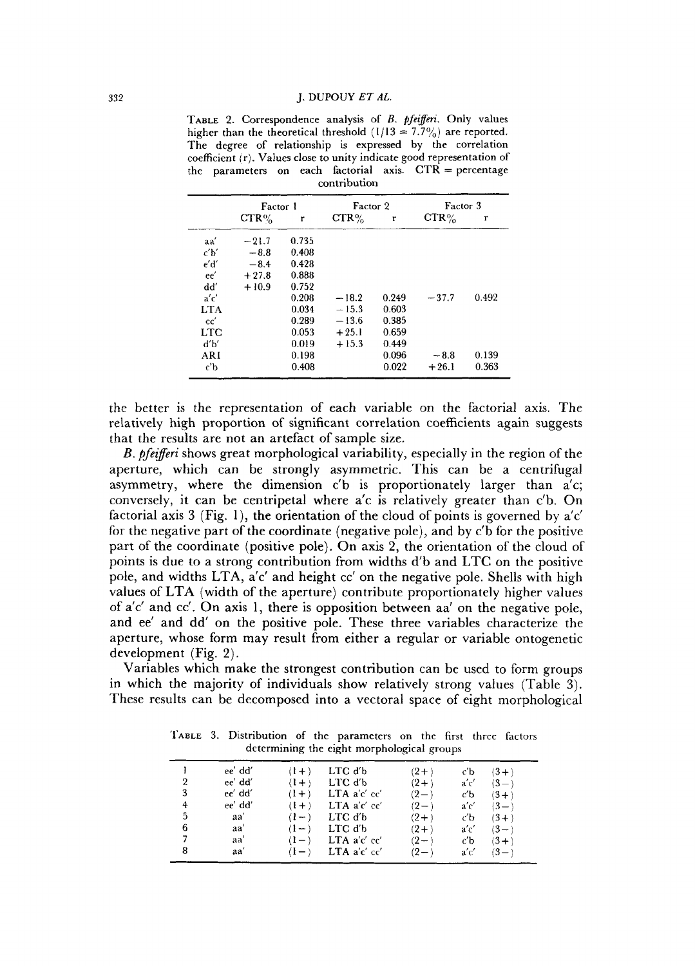TABLE 2. Correspondence analysis of *B. pfeifferi*. Only values higher than the theoretical threshold  $(1/13 = 7.7\%)$  are reported. **The degree of relationship is expressed by the correlation coefficient (r). Values close to unity indicate good representation of the parameters on each factorial axis. CTR** = **percentage contribution** 

|            | Factor 1 |       | Factor 2 |       | Factor 3 |       |
|------------|----------|-------|----------|-------|----------|-------|
|            | $CTR\%$  | r     | $CTR\%$  | r     | $CTR\%$  | r     |
| aa'        | $-21.7$  | 0.735 |          |       |          |       |
| c'b'       | $-8.8$   | 0.408 |          |       |          |       |
| e'd'       | $-8.4$   | 0.428 |          |       |          |       |
| ee'        | $+27.8$  | 0.888 |          |       |          |       |
| dď         | $+10.9$  | 0.752 |          |       |          |       |
| a'c'       |          | 0.208 | $-18.2$  | 0.249 | $-37.7$  | 0.492 |
| <b>LTA</b> |          | 0.034 | $-15.3$  | 0.603 |          |       |
| cc'        |          | 0.289 | $-13.6$  | 0.385 |          |       |
| LTC        |          | 0.053 | $+25.1$  | 0.659 |          |       |
| ďb′        |          | 0.019 | $+15.3$  | 0.449 |          |       |
| ARI        |          | 0.198 |          | 0.096 | $-8.8$   | 0.139 |
| c'b        |          | 0.408 |          | 0.022 | $+26.1$  | 0.363 |

the better is the representation of each variable on the factorial axis. The relatively high proportion of significant correlation coefficients again suggests that the results are not an artefact of sample size.

*B. pfeifferi* shows great morphological variability, especially in the region of the aperture, which can be strongly asymmetric. This can be a centrifugal asymmetry, where the dimension c'b is proportionately larger than a'c; conversely, it can be centripetal where a'c is relatively greater than c'b. On factorial axis **3** (Fig. l), the orientation of the cloud of points is governed by a'c' for the negative part of the coordinate (negative pole), and by c'b for the positive part of the coordinate (positive pole). On axis 2, the orientation of the cloud of points is due to a strong contribution from widths d'b and LTC on the positive pole, and widths LTA, a'c' and height cc' on the negative pole. Shells with high values of LTA (width of the aperture) contribute proportionately higher values of a'c' and cc'. On axis 1, there is opposition between aa' on the negative pole, and ee' and dd' on the positive pole. These three variables characterize the aperture, whose form may result from either a regular or variable ontogenetic development (Fig. 2).

Variables which make the strongest contribution can be used to form groups in which the majority of individuals show relatively strong values (Table **3).**  These results can be decomposed into a vectoral space of eight morphological

**TABLE 3. Distribution of the parameters on the first three factors determining the eight morphological groups** 

|   | ee' dd' | $(1 +$   | LTC d'b      | $(2+)$    | сb   | $(3 + )$ |
|---|---------|----------|--------------|-----------|------|----------|
| 2 | ee' dd' | $(1 + )$ | LTC d'b      | $(2+)$    | a'c' | $(3 - )$ |
| 3 | ee' dd' | $(1+)$   | LTA a'c' cc' | $(2-)$    | c'b  | $(3 + )$ |
| 4 | ee' dd' | $(1 + )$ | LTA a'c' cc' | $(2 - )$  | a'c' | $(3 - )$ |
| 5 | aa'     | $(1 - )$ | LTC d'b      | $(2 + )$  | сb   | $(3+)$   |
| 6 | aa'     | $(1 - )$ | LTC d'b      | $(2+)$    | a'c' | $(3 - )$ |
|   | aa'     | $(1 - )$ | LTA a'c' cc' | $(2 - )$  | c'b  | $(3 + )$ |
| 8 | aa'     |          | LTA a'c' cc' | $(2 - 1)$ | a'c' | $(3 - )$ |
|   |         |          |              |           |      |          |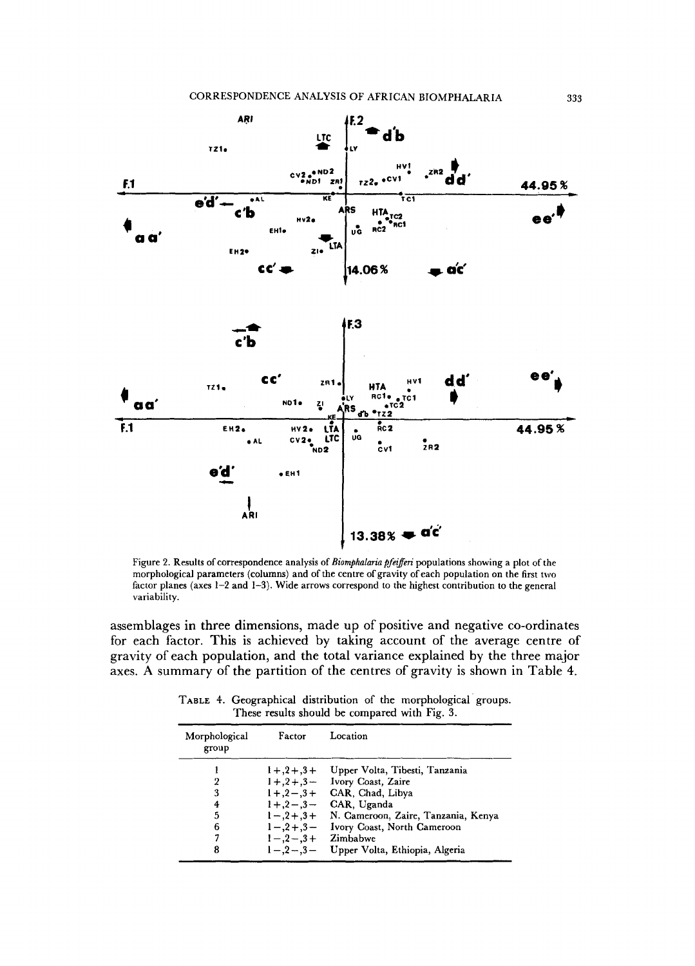

Figure 2. Results of correspondence analysis of *Biomphalaria pfeifferi* populations showing a plot of the morphological parameters (columns) and of the centre of gravity of each population on the first two factor planes (axes 1-2 and **1-3).** Wide arrows correspond to the highest contribution to the general variability.

assemblages in three dimensions, made up of positive and negative co-ordinates for each factor. This is achieved by taking account of the average centre of gravity of each population, and the total variance explained by the three major axes. **A** summary of the partition of the centres of gravity is shown in Table **4.** 

TABLE **4.** Geographical distribution of the morphological groups. These results should be compared with Fig. 3.

| Morphological<br>group | Factor            | Location                            |
|------------------------|-------------------|-------------------------------------|
|                        | $1 + .2 + .3 +$   | Upper Volta, Tibesti, Tanzania      |
| 2                      | $1 + .2 + .3 -$   | Ivory Coast, Zaire                  |
| 3                      | $1 + 0.2 - 0.3 +$ | CAR, Chad, Libya                    |
| 4                      |                   | $1+, 2-, 3-$ CAR, Uganda            |
| 5                      | $1 - .2 + .3 +$   | N. Cameroon, Zaire, Tanzania, Kenya |
| 6                      | $1 - 3 + 3 -$     | Ivory Coast, North Cameroon         |
| 7                      | $1 - .2 - .3 +$   | Zimbabwe                            |
| 8                      | $1 - 2 - 3 -$     | Upper Volta, Ethiopia, Algeria      |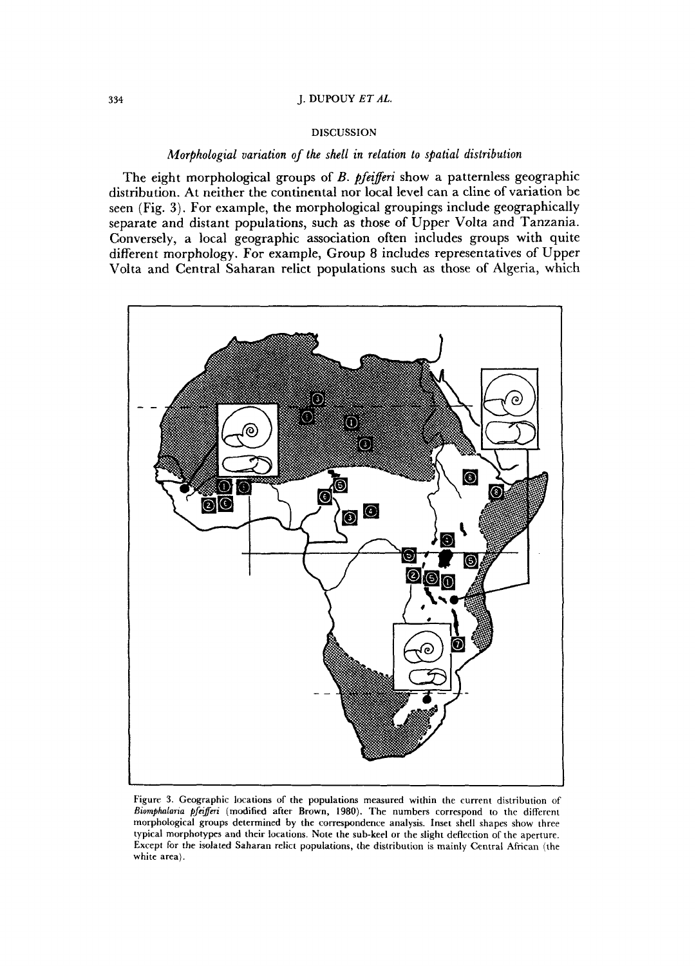# **DISCUSSION**

# *Morphologial variation of the shell in relation to spatial distribution*

The eight morphological groups of B. *pfezjeri* show a patternless geographic distribution. At neither the continental nor local level can a cline of variation be seen (Fig. 3). For example, the morphological groupings include geographically separate and distant populations, such as those of Upper Volta and Tanzania. Conversely, a local geographic association often includes groups with quite different morphology. For example, Group 8 includes representatives of Upper Volta and Central Saharan relict populations such as those of Algeria, which



Figure 3. Geographic locations of the populations measured within the current distribution of *Btomphalana pfajm* (modified after Brown, 1980). The numbers correspond to the different morphological groups determined by the correspondence analysis. Inset shell shapes show three typical morphotypes and their locations. Note the sub-keel or the slight deflection of the aperture. Except for the isolated Saharan relict populations, the distribution is mainly Central African (the white area).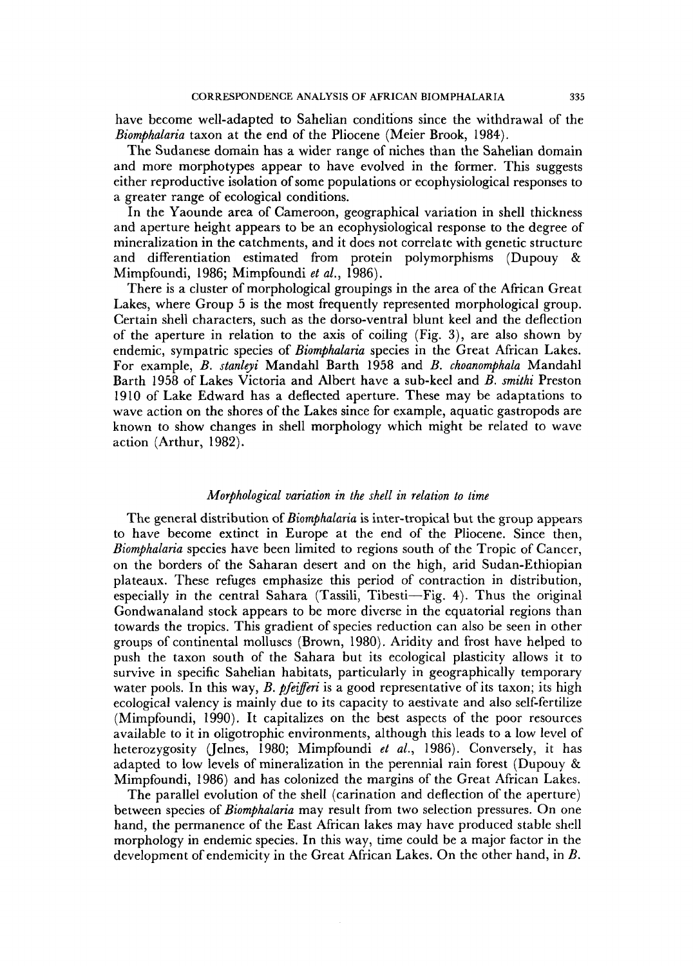have become well-adapted to Sahelian conditions since the withdrawal of the *Biomphalaria* taxon at the end of the Pliocene (Meier Brook, 1984).

The Sudanese domain has a wider range of niches than the Sahelian domain and more morphotypes appear to have evolved in the former. This suggests either reproductive isolation of some populations or ecophysiological responses to a greater range of ecological conditions.

In the Yaounde area of Cameroon, geographical variation in shell thickness and aperture height appears to be an ecophysiological response to the degree of mineralization in the catchments, and it does not correlate with genetic structure and differentiation estimated from protein polymorphisms (Dupouy & Mimpfoundi, 1986; Mimpfoundi *et al.,* 1986).

There is a cluster of morphological groupings in the area of the African Great Lakes, where Group 5 is the most frequently represented morphological group. Certain shell characters, such as the dorso-ventral blunt keel and the deflection of the aperture in relation to the axis of coiling (Fig. **3))** are also shown by endemic, sympatric species of *Biomphalaria* species in the Great African Lakes. For example, *B. stanleyi* Mandahl Barth 1958 and *B. choanomphala* Mandahl Barth 1958 of Lakes Victoria and Albert have a sub-keel and *B. smithi* Preston 1910 of Lake Edward has a deflected aperture. These may be adaptations to wave action on the shores of the Lakes since for example, aquatic gastropods are known to show changes in shell morphology which might be related to wave action (Arthur, 1982).

# *Morphological variation in the shell in relation to time*

The general distribution of *Biornphalaria* is inter-tropicai but the group appears to have become extinct in Europe at the end of the Pliocene. Since then, *Biomphalaria* species have been limited to regions south of the Tropic of Cancer, on the borders of the Saharan desert and on the high, arid Sudan-Ethiopian plateaux. These refuges emphasize this period of contraction in distribution, especially in the central Sahara (Tassili, Tibesti-Fig. 4). Thus the original Gondwanaland stock appears to be more diverse in the equatorial regions than towards the tropics. This gradient of species reduction can also be seen in other groups of continental molluscs (Brown, 1980). Aridity and frost have helped to push the taxon south of the Sahara but its ecological plasticity allows it to survive in specific Sahelian habitats, particularly in geographically temporary water pools. In this way, *B. pfeifferi* is a good representative of its taxon; its high ecological valency is mainly due to its capacity to aestivate and also self-fertilize (Mimpfoundi, 1990). It capitalizes on the best aspects of the poor resources available to it in oligotrophic environments, although this leads to a low level of heterozygosity (Jelnes, 1980; Mimpfoundi *et al.,* 1986). Conversely, it has adapted to low levels of mineralization in the perennial rain forest (Dupouy & Mimpfoundi, 1986) and has colonized the margins of the Great African Lakes.

The parallel evolution of the shell (carination and deflection of the aperture) between species of *Biomphalaria* may result from two selection pressures. On one hand, the permanence of the East African lakes may have produced stable shell morphology in endemic species. In this way, time could be a major factor in the development of endemicity in the Great African Lakes. On the other hand, in *B.*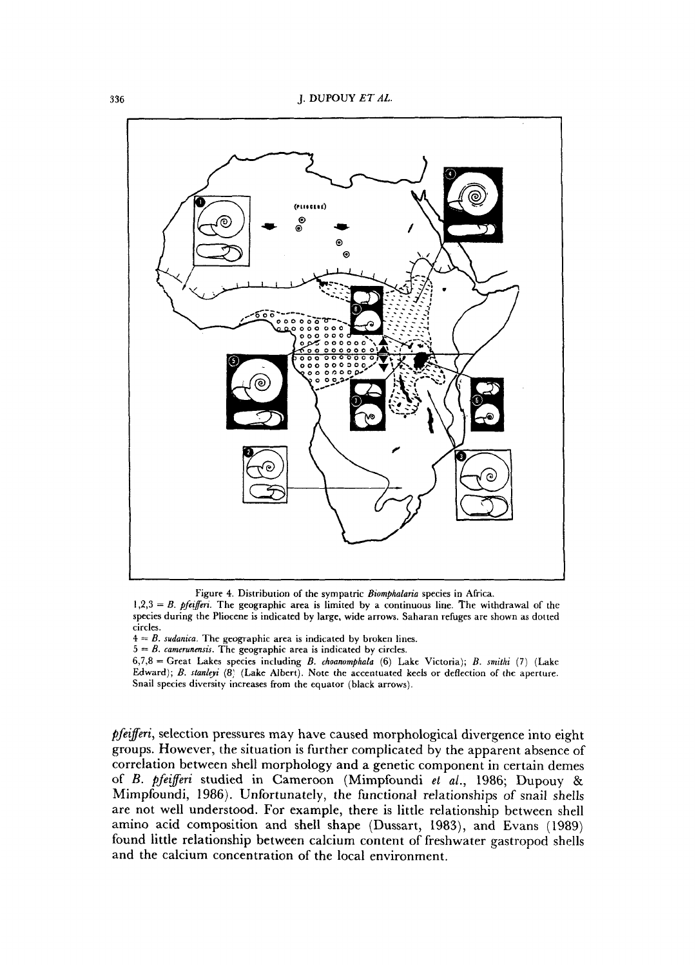

Figure **4.** Distribution **of** the sympatric *Biornphalaria* species in Africa.

*pfezferi,* selection pressures may have caused morphological divergence into eight groups. However, the situation is further complicated by the apparent absence of correlation between shell morphology and a genetic component in certain demes of *B. pfezfeeri* studied in Cameroon (Mimpfoundi *et al.,* 1986; Dupouy & Mimpfoundi, 1986). Unfortunately, the functional relationships of snail shells are not well understood. For example, there is little relationship between shell amino acid composition and shell shape (Dussart, 1983), and Evans (1989) found little relationship between calcium content of freshwater gastropod shells and the calcium concentration of the local environment.

**<sup>1,2,3</sup>** = B. *pjeiJm'.* The geographic area is limited by a continuous line. The withdrawal of the species during the Pliocene is indicated by large, wide arrows. Saharan refuges are shown as dotted circles.

 $4 = B$ . *sudanica*. The geographic area is indicated by broken lines.

 $5 = B$ . *camerunensis*. The geographic area is indicated by circles.

<sup>6,7,8 =</sup> Great Lakes species including B. *choanomphala* (6) Lake Victoria); B. *srnifhi* (7) (Lake Edward); B. *sfanleyi* (8; (Lake Albert). Note the accentuated keels or deflection of the aperture. Snail species diversity increases from the equator (black arrows).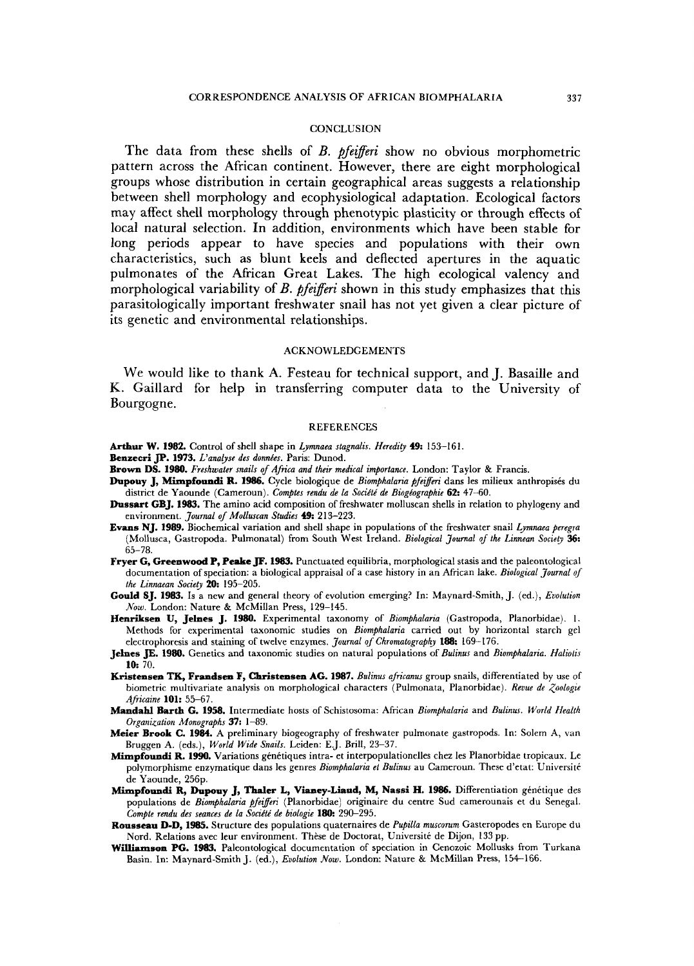## **CONCLUSION**

The data from these shells of *B. pfezferi* show no obvious morphometric pattern across the African continent. However, there are eight morphological groups whose distribution in certain geographical areas suggests a relationship between shell morphology and ecophysiological adaptation. Ecological factors may affect shell morphology through phenotypic plasticity or through effects of local natural selection. In addition, environments which have been stable for long periods appear to have species and populations with their own characteristics, such as blunt keels and deflected apertures in the aquatic pulmonates of the African Great Lakes. The high ecological valency and morphological variability of *B. pfezferi* shown in this study emphasizes that this parasitologically important freshwater snail has not yet given **a** clear picture of its genetic and environmental relationships.

#### ACKNOWLEDGEMENTS

We would like to thank **A.** Festeau for technical support, and J. Basaille and **K.** Gaillard for help in transferring computer data to the University of Bourgogne.

#### REFERENCES

- Arthur W. 1982. Control of shell shape in *Lymnaea stagnalis. Heredity* **49:** 153-161.
- Benzecri JP. 1973. *L'analyse des données*. Paris: Dunod.
- **Brown DS. 1980.** *Freshwater snails of Africa and their medical importance.* London: Taylor & Francis.
- **Dupouy J, Mimpfoundi R. 1986.** Cycle biologique de *Biomphalana pfegeri* dans **les** milieux anthropisks du district de Yaounde (Cameroun). *Comptes rendu de la Sociiti de Biogkographie* **62:** 47-60.
- **Dussart CBJ. 1983.** The amino acid composition of freshwater molluscan shells in relation to phylogeny and environment. *JOUT~ of Molluscan Studies*  213-223.
- **Evans NJ. 1989.** Biochemical variation and shell shape in populations of the freshwater snail *Lymnaea peregra*  (Mollusca, Gastropoda. Pulmonatal) from South West Ireland. *Biological 30~rnal of the Lznnean Socieb* **36:**  65-78,
- **Fryer** *C,* **Greenwood P, Peake JF. 1983.** Punctuated equilibria, morphological stasis and the paleontological documentation of speciation: a biological appraisal of a case history in an African lake. *Biological Journal of the Linnaean Society 20:* 195-205.
- **Could SJ. 1983. Is** a new and general theory of evolution emerging? In: Maynard-Smith, J. (ed.), *Evolution Nom.* London: Nature & McMillan Press, 129-145.
- **Henriksen U, Jelnes J. 1980.** Experimental taxonomy of *Biomphalaria* (Gastropoda, Planorbidae). 1. Methods for experimental taxonomic studies on *Biomphalaria* carried out by horizontal starch gel electrophoresis and staining of twelve enzymes. *Journal of Chromatography 188:* 169-1 76.
- **Jelnes JE. 1980.** Genetics and taxonomic studies on natural populations of *Bulinus* and *Biomphalaria. Haliolis*  **10:** 70.
- **Kristensen TK, Frandsen F, Christensen AG. 1987.** *Bulinus africanus* group snails, differentiated by use of biometric multivariate analysis on morphological characters (Pulmonata, Planorbidae). Revue de Zoologie *Africaine* **101:** 55-67.
- **Mandahl** Barth **C. 1958.** Intermediate hosts of Schistosoma: African *Biomphalaria* and *Bulinus. World Health Organization Monographs* 37: 1-89.
- **Meier Brook C. 1984. A** preliminary biogeography of freshwater pulmonate gastropods. In: Solem **A,** van Bruggen **A.** (eds.), *World Wide Snails.* Leiden: E.J. Brill, 23-37.
- Mimpfoundi R. 1990. Variations génétiques intra- et interpopulationelles chez les Planorbidae tropicaux. Le polymorphisme enzymatique dans les genres *Biomphalaria et Bulinus* au Cameroun. These d'etat: Université de Yaounde, 256p.
- Mimpfoundi R, Dupouy J, Thaler L, Vianey-Liaud, M, Nassi H. 1986. Differentiation génétique des populations de Biomphalaria pfeifferi (Planorbidae) originaire du centre Sud camerounais et du Senegal. *Compte rendu des seances de la Société de biologie* 180: 290-295.
- **Rousseau D-D, 1985.** Structure des populations quaternaires de *Pupilla mlcscorum* Gasteropodes en Europe du Nord. Relations avec leur environment. Thèse de Doctorat, Université de Dijon, 133 pp.
- **Williamson PG. 1983.** Paleontological documentation of speciation **in** Cenozoic Mollusks from Turkana Basin. In: Maynard-Smith J. (ed.), *Evolution Now.* London: Nature & McMillan Press, 154-166.